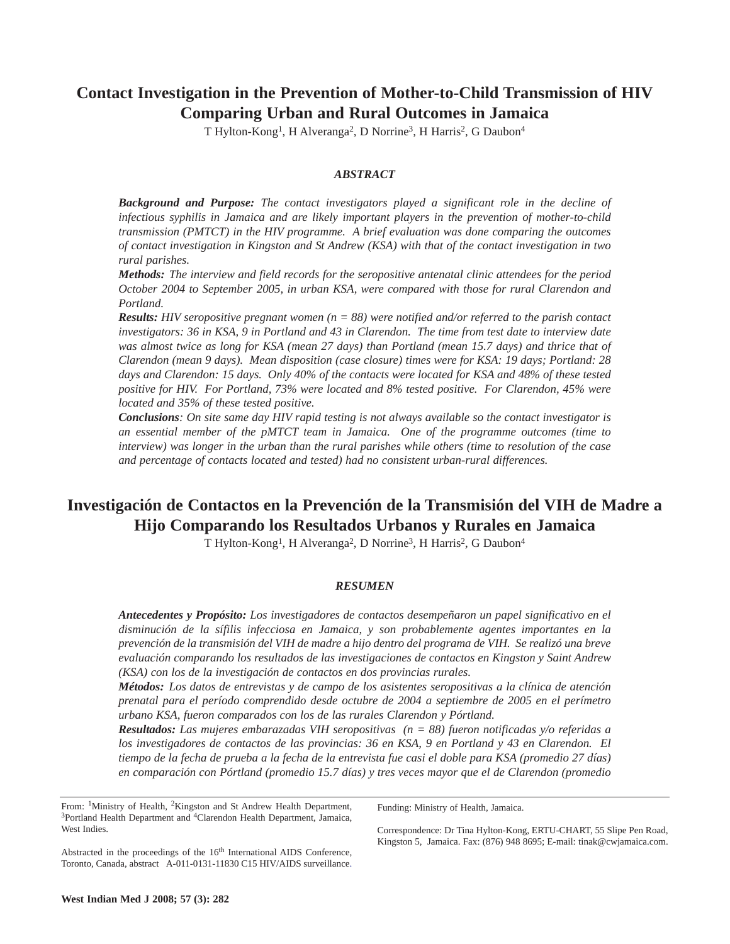# **Contact Investigation in the Prevention of Mother-to-Child Transmission of HIV Comparing Urban and Rural Outcomes in Jamaica**

T Hylton-Kong<sup>1</sup>, H Alveranga<sup>2</sup>, D Norrine<sup>3</sup>, H Harris<sup>2</sup>, G Daubon<sup>4</sup>

## *ABSTRACT*

*Background and Purpose: The contact investigators played a significant role in the decline of infectious syphilis in Jamaica and are likely important players in the prevention of mother-to-child transmission (PMTCT) in the HIV programme. A brief evaluation was done comparing the outcomes of contact investigation in Kingston and St Andrew (KSA) with that of the contact investigation in two rural parishes.*

*Methods: The interview and field records for the seropositive antenatal clinic attendees for the period October 2004 to September 2005, in urban KSA, were compared with those for rural Clarendon and Portland.* 

*Results: HIV seropositive pregnant women (n = 88) were notified and/or referred to the parish contact investigators: 36 in KSA, 9 in Portland and 43 in Clarendon. The time from test date to interview date was almost twice as long for KSA (mean 27 days) than Portland (mean 15.7 days) and thrice that of Clarendon (mean 9 days). Mean disposition (case closure) times were for KSA: 19 days; Portland: 28 days and Clarendon: 15 days. Only 40% of the contacts were located for KSA and 48% of these tested positive for HIV. For Portland, 73% were located and 8% tested positive. For Clarendon, 45% were located and 35% of these tested positive.* 

*Conclusions: On site same day HIV rapid testing is not always available so the contact investigator is an essential member of the pMTCT team in Jamaica. One of the programme outcomes (time to interview) was longer in the urban than the rural parishes while others (time to resolution of the case and percentage of contacts located and tested) had no consistent urban-rural differences.* 

# **Investigación de Contactos en la Prevención de la Transmisión del VIH de Madre a Hijo Comparando los Resultados Urbanos y Rurales en Jamaica**

T Hylton-Kong<sup>1</sup>, H Alveranga<sup>2</sup>, D Norrine<sup>3</sup>, H Harris<sup>2</sup>, G Daubon<sup>4</sup>

### *RESUMEN*

*Antecedentes y Propósito: Los investigadores de contactos desempeñaron un papel significativo en el disminución de la sífilis infecciosa en Jamaica, y son probablemente agentes importantes en la prevención de la transmisión del VIH de madre a hijo dentro del programa de VIH. Se realizó una breve evaluación comparando los resultados de las investigaciones de contactos en Kingston y Saint Andrew (KSA) con los de la investigación de contactos en dos provincias rurales.*

*Métodos: Los datos de entrevistas y de campo de los asistentes seropositivas a la clínica de atención prenatal para el período comprendido desde octubre de 2004 a septiembre de 2005 en el perímetro urbano KSA, fueron comparados con los de las rurales Clarendon y Pórtland.* 

*Resultados: Las mujeres embarazadas VIH seropositivas (n = 88) fueron notificadas y/o referidas a los investigadores de contactos de las provincias: 36 en KSA, 9 en Portland y 43 en Clarendon. El tiempo de la fecha de prueba a la fecha de la entrevista fue casi el doble para KSA (promedio 27 días) en comparación con Pórtland (promedio 15.7 días) y tres veces mayor que el de Clarendon (promedio*

From: <sup>1</sup>Ministry of Health, <sup>2</sup>Kingston and St Andrew Health Department, <sup>3</sup>Portland Health Department and <sup>4</sup>Clarendon Health Department, Jamaica, West Indies.

Funding: Ministry of Health, Jamaica.

Abstracted in the proceedings of the 16<sup>th</sup> International AIDS Conference, Toronto, Canada, abstract A-011-0131-11830 C15 HIV/AIDS surveillance. Correspondence: Dr Tina Hylton-Kong, ERTU-CHART, 55 Slipe Pen Road, Kingston 5, Jamaica. Fax: (876) 948 8695; E-mail: tinak@cwjamaica.com.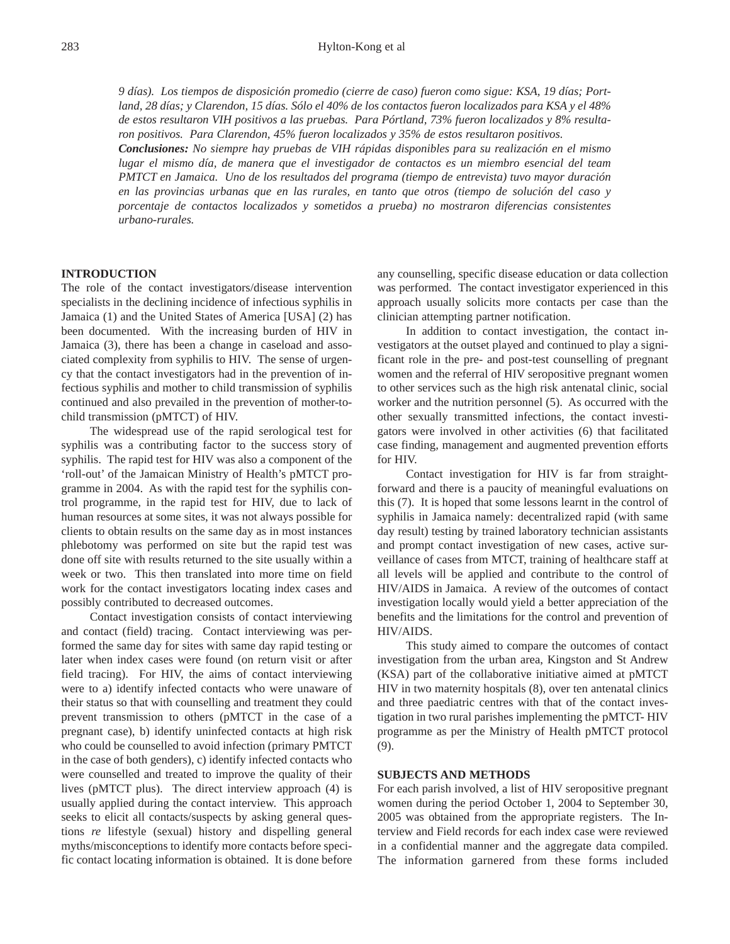*9 días). Los tiempos de disposición promedio (cierre de caso) fueron como sigue: KSA, 19 días; Portland, 28 días; y Clarendon, 15 días. Sólo el 40% de los contactos fueron localizados para KSA y el 48% de estos resultaron VIH positivos a las pruebas. Para Pórtland, 73% fueron localizados y 8% resultaron positivos. Para Clarendon, 45% fueron localizados y 35% de estos resultaron positivos.* 

*Conclusiones: No siempre hay pruebas de VIH rápidas disponibles para su realización en el mismo lugar el mismo día, de manera que el investigador de contactos es un miembro esencial del team PMTCT en Jamaica. Uno de los resultados del programa (tiempo de entrevista) tuvo mayor duración en las provincias urbanas que en las rurales, en tanto que otros (tiempo de solución del caso y porcentaje de contactos localizados y sometidos a prueba) no mostraron diferencias consistentes urbano-rurales.* 

## **INTRODUCTION**

The role of the contact investigators/disease intervention specialists in the declining incidence of infectious syphilis in Jamaica (1) and the United States of America [USA] (2) has been documented. With the increasing burden of HIV in Jamaica (3), there has been a change in caseload and associated complexity from syphilis to HIV. The sense of urgency that the contact investigators had in the prevention of infectious syphilis and mother to child transmission of syphilis continued and also prevailed in the prevention of mother-tochild transmission (pMTCT) of HIV.

The widespread use of the rapid serological test for syphilis was a contributing factor to the success story of syphilis. The rapid test for HIV was also a component of the 'roll-out' of the Jamaican Ministry of Health's pMTCT programme in 2004. As with the rapid test for the syphilis control programme, in the rapid test for HIV, due to lack of human resources at some sites, it was not always possible for clients to obtain results on the same day as in most instances phlebotomy was performed on site but the rapid test was done off site with results returned to the site usually within a week or two. This then translated into more time on field work for the contact investigators locating index cases and possibly contributed to decreased outcomes.

Contact investigation consists of contact interviewing and contact (field) tracing. Contact interviewing was performed the same day for sites with same day rapid testing or later when index cases were found (on return visit or after field tracing). For HIV, the aims of contact interviewing were to a) identify infected contacts who were unaware of their status so that with counselling and treatment they could prevent transmission to others (pMTCT in the case of a pregnant case), b) identify uninfected contacts at high risk who could be counselled to avoid infection (primary PMTCT in the case of both genders), c) identify infected contacts who were counselled and treated to improve the quality of their lives (pMTCT plus). The direct interview approach (4) is usually applied during the contact interview. This approach seeks to elicit all contacts/suspects by asking general questions *re* lifestyle (sexual) history and dispelling general myths/misconceptions to identify more contacts before specific contact locating information is obtained. It is done before any counselling, specific disease education or data collection was performed. The contact investigator experienced in this approach usually solicits more contacts per case than the clinician attempting partner notification.

In addition to contact investigation, the contact investigators at the outset played and continued to play a significant role in the pre- and post-test counselling of pregnant women and the referral of HIV seropositive pregnant women to other services such as the high risk antenatal clinic, social worker and the nutrition personnel (5). As occurred with the other sexually transmitted infections, the contact investigators were involved in other activities (6) that facilitated case finding, management and augmented prevention efforts for HIV.

Contact investigation for HIV is far from straightforward and there is a paucity of meaningful evaluations on this (7). It is hoped that some lessons learnt in the control of syphilis in Jamaica namely: decentralized rapid (with same day result) testing by trained laboratory technician assistants and prompt contact investigation of new cases, active surveillance of cases from MTCT, training of healthcare staff at all levels will be applied and contribute to the control of HIV/AIDS in Jamaica. A review of the outcomes of contact investigation locally would yield a better appreciation of the benefits and the limitations for the control and prevention of HIV/AIDS.

This study aimed to compare the outcomes of contact investigation from the urban area, Kingston and St Andrew (KSA) part of the collaborative initiative aimed at pMTCT HIV in two maternity hospitals (8), over ten antenatal clinics and three paediatric centres with that of the contact investigation in two rural parishes implementing the pMTCT- HIV programme as per the Ministry of Health pMTCT protocol (9).

## **SUBJECTS AND METHODS**

For each parish involved, a list of HIV seropositive pregnant women during the period October 1, 2004 to September 30, 2005 was obtained from the appropriate registers. The Interview and Field records for each index case were reviewed in a confidential manner and the aggregate data compiled. The information garnered from these forms included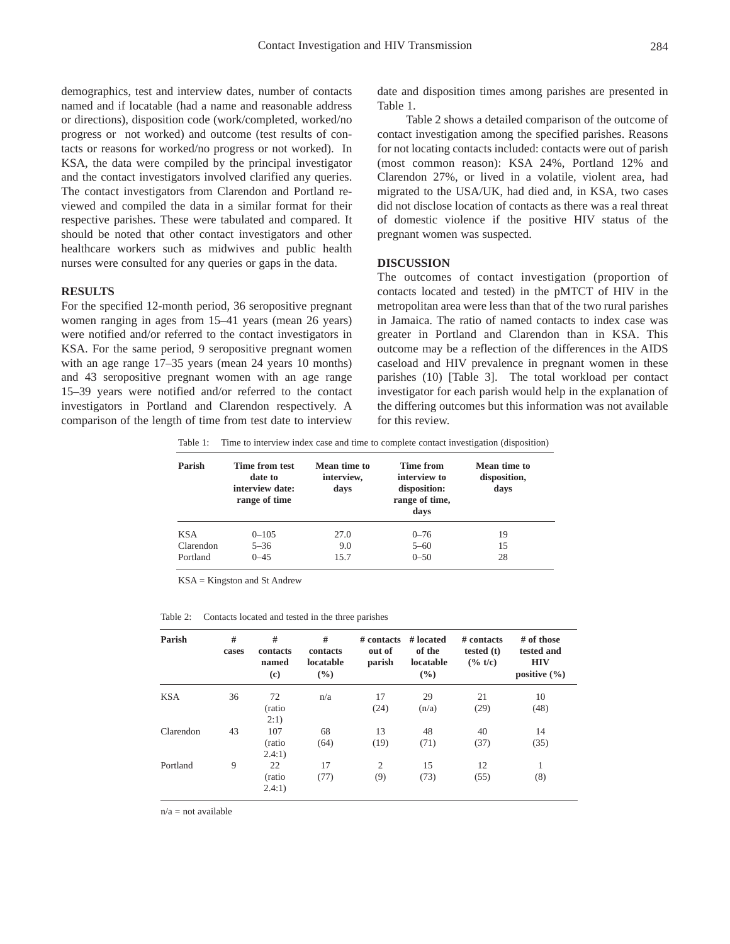demographics, test and interview dates, number of contacts named and if locatable (had a name and reasonable address or directions), disposition code (work/completed, worked/no progress or not worked) and outcome (test results of contacts or reasons for worked/no progress or not worked). In KSA, the data were compiled by the principal investigator and the contact investigators involved clarified any queries. The contact investigators from Clarendon and Portland reviewed and compiled the data in a similar format for their respective parishes. These were tabulated and compared. It should be noted that other contact investigators and other healthcare workers such as midwives and public health nurses were consulted for any queries or gaps in the data.

### **RESULTS**

For the specified 12-month period, 36 seropositive pregnant women ranging in ages from 15–41 years (mean 26 years) were notified and/or referred to the contact investigators in KSA. For the same period, 9 seropositive pregnant women with an age range 17–35 years (mean 24 years 10 months) and 43 seropositive pregnant women with an age range 15–39 years were notified and/or referred to the contact investigators in Portland and Clarendon respectively. A comparison of the length of time from test date to interview date and disposition times among parishes are presented in Table 1.

Table 2 shows a detailed comparison of the outcome of contact investigation among the specified parishes. Reasons for not locating contacts included: contacts were out of parish (most common reason): KSA 24%, Portland 12% and Clarendon 27%, or lived in a volatile, violent area, had migrated to the USA/UK, had died and, in KSA, two cases did not disclose location of contacts as there was a real threat of domestic violence if the positive HIV status of the pregnant women was suspected.

## **DISCUSSION**

The outcomes of contact investigation (proportion of contacts located and tested) in the pMTCT of HIV in the metropolitan area were less than that of the two rural parishes in Jamaica. The ratio of named contacts to index case was greater in Portland and Clarendon than in KSA. This outcome may be a reflection of the differences in the AIDS caseload and HIV prevalence in pregnant women in these parishes (10) [Table 3]. The total workload per contact investigator for each parish would help in the explanation of the differing outcomes but this information was not available for this review.

Table 1: Time to interview index case and time to complete contact investigation (disposition)

| Parish     | Time from test<br>date to<br>interview date:<br>range of time | Mean time to<br>interview,<br>days | Time from<br>interview to<br>disposition:<br>range of time,<br>days | Mean time to<br>disposition,<br>days |
|------------|---------------------------------------------------------------|------------------------------------|---------------------------------------------------------------------|--------------------------------------|
| <b>KSA</b> | $0 - 105$                                                     | 27.0                               | $0 - 76$                                                            | 19                                   |
| Clarendon  | $5 - 36$                                                      | 9.0                                | $5 - 60$                                                            | 15                                   |
| Portland   | $0 - 45$                                                      | 15.7                               | $0 - 50$                                                            | 28                                   |

KSA = Kingston and St Andrew

| Table 2: | Contacts located and tested in the three parishes |  |  |  |  |  |  |  |
|----------|---------------------------------------------------|--|--|--|--|--|--|--|
|----------|---------------------------------------------------|--|--|--|--|--|--|--|

| Parish     | #<br>cases | #<br>contacts<br>named<br>$\left( \mathbf{c} \right)$ | #<br>contacts<br>locatable<br>$\frac{9}{6}$ | $#$ contacts<br>out of<br>parish | # located<br>of the<br>locatable<br>$\frac{9}{6}$ | $#$ contacts<br>tested $(t)$<br>$(*)$ t/c) | $#$ of those<br>tested and<br><b>HIV</b><br>positive $(\% )$ |
|------------|------------|-------------------------------------------------------|---------------------------------------------|----------------------------------|---------------------------------------------------|--------------------------------------------|--------------------------------------------------------------|
| <b>KSA</b> | 36         | 72<br>(ratio<br>2:1)                                  | n/a                                         | 17<br>(24)                       | 29<br>(n/a)                                       | 21<br>(29)                                 | 10<br>(48)                                                   |
| Clarendon  | 43         | 107<br>(ratio)<br>2.4:1)                              | 68<br>(64)                                  | 13<br>(19)                       | 48<br>(71)                                        | 40<br>(37)                                 | 14<br>(35)                                                   |
| Portland   | 9          | 22<br>(ratio)<br>2.4:1)                               | 17<br>(77)                                  | 2<br>(9)                         | 15<br>(73)                                        | 12<br>(55)                                 | 1<br>(8)                                                     |

n/a = not available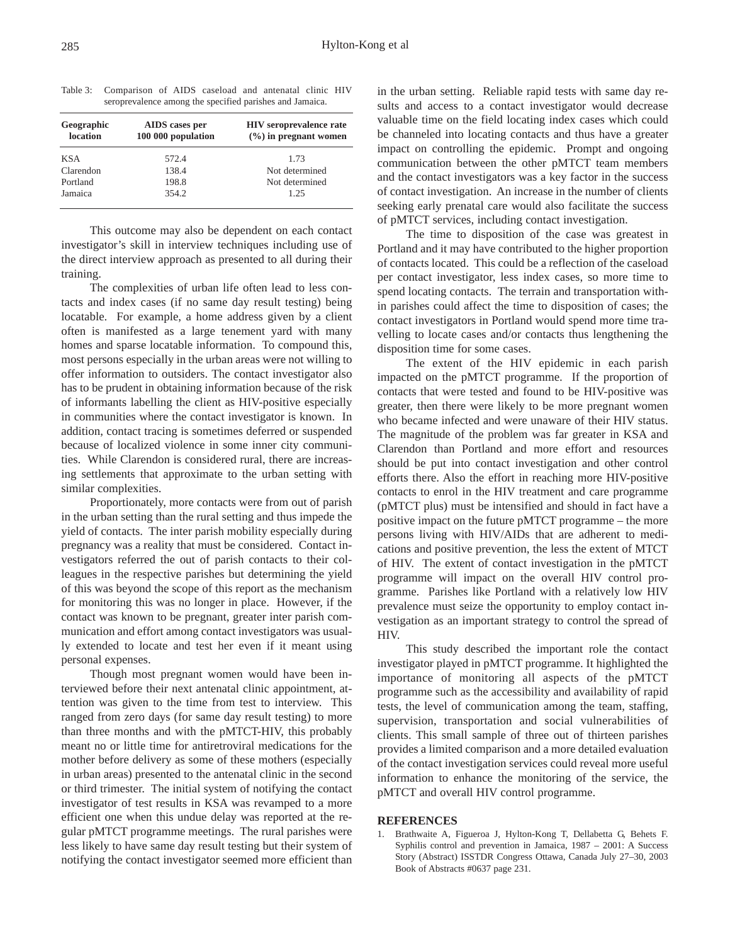| Table 3: Comparison of AIDS caseload and antenatal clinic HIV |  |  |  |  |
|---------------------------------------------------------------|--|--|--|--|
| seroprevalence among the specified parishes and Jamaica.      |  |  |  |  |

| Geographic<br>location | AIDS cases per<br>100 000 population | <b>HIV</b> seroprevalence rate<br>$(\frac{9}{6})$ in pregnant women |
|------------------------|--------------------------------------|---------------------------------------------------------------------|
| <b>KSA</b>             | 572.4                                | 1.73                                                                |
| Clarendon              | 138.4                                | Not determined                                                      |
| Portland               | 198.8                                | Not determined                                                      |
| Jamaica                | 354.2                                | 1.25                                                                |

This outcome may also be dependent on each contact investigator's skill in interview techniques including use of the direct interview approach as presented to all during their training.

The complexities of urban life often lead to less contacts and index cases (if no same day result testing) being locatable. For example, a home address given by a client often is manifested as a large tenement yard with many homes and sparse locatable information. To compound this, most persons especially in the urban areas were not willing to offer information to outsiders. The contact investigator also has to be prudent in obtaining information because of the risk of informants labelling the client as HIV-positive especially in communities where the contact investigator is known. In addition, contact tracing is sometimes deferred or suspended because of localized violence in some inner city communities. While Clarendon is considered rural, there are increasing settlements that approximate to the urban setting with similar complexities.

Proportionately, more contacts were from out of parish in the urban setting than the rural setting and thus impede the yield of contacts. The inter parish mobility especially during pregnancy was a reality that must be considered. Contact investigators referred the out of parish contacts to their colleagues in the respective parishes but determining the yield of this was beyond the scope of this report as the mechanism for monitoring this was no longer in place. However, if the contact was known to be pregnant, greater inter parish communication and effort among contact investigators was usually extended to locate and test her even if it meant using personal expenses.

Though most pregnant women would have been interviewed before their next antenatal clinic appointment, attention was given to the time from test to interview. This ranged from zero days (for same day result testing) to more than three months and with the pMTCT-HIV, this probably meant no or little time for antiretroviral medications for the mother before delivery as some of these mothers (especially in urban areas) presented to the antenatal clinic in the second or third trimester. The initial system of notifying the contact investigator of test results in KSA was revamped to a more efficient one when this undue delay was reported at the regular pMTCT programme meetings. The rural parishes were less likely to have same day result testing but their system of notifying the contact investigator seemed more efficient than

in the urban setting. Reliable rapid tests with same day results and access to a contact investigator would decrease valuable time on the field locating index cases which could be channeled into locating contacts and thus have a greater impact on controlling the epidemic. Prompt and ongoing communication between the other pMTCT team members and the contact investigators was a key factor in the success of contact investigation. An increase in the number of clients seeking early prenatal care would also facilitate the success of pMTCT services, including contact investigation.

The time to disposition of the case was greatest in Portland and it may have contributed to the higher proportion of contacts located. This could be a reflection of the caseload per contact investigator, less index cases, so more time to spend locating contacts. The terrain and transportation within parishes could affect the time to disposition of cases; the contact investigators in Portland would spend more time travelling to locate cases and/or contacts thus lengthening the disposition time for some cases.

The extent of the HIV epidemic in each parish impacted on the pMTCT programme. If the proportion of contacts that were tested and found to be HIV-positive was greater, then there were likely to be more pregnant women who became infected and were unaware of their HIV status. The magnitude of the problem was far greater in KSA and Clarendon than Portland and more effort and resources should be put into contact investigation and other control efforts there. Also the effort in reaching more HIV-positive contacts to enrol in the HIV treatment and care programme (pMTCT plus) must be intensified and should in fact have a positive impact on the future pMTCT programme – the more persons living with HIV/AIDs that are adherent to medications and positive prevention, the less the extent of MTCT of HIV. The extent of contact investigation in the pMTCT programme will impact on the overall HIV control programme. Parishes like Portland with a relatively low HIV prevalence must seize the opportunity to employ contact investigation as an important strategy to control the spread of HIV.

This study described the important role the contact investigator played in pMTCT programme. It highlighted the importance of monitoring all aspects of the pMTCT programme such as the accessibility and availability of rapid tests, the level of communication among the team, staffing, supervision, transportation and social vulnerabilities of clients. This small sample of three out of thirteen parishes provides a limited comparison and a more detailed evaluation of the contact investigation services could reveal more useful information to enhance the monitoring of the service, the pMTCT and overall HIV control programme.

## **REFERENCES**

1. Brathwaite A, Figueroa J, Hylton-Kong T, Dellabetta G, Behets F. Syphilis control and prevention in Jamaica, 1987 – 2001: A Success Story (Abstract) ISSTDR Congress Ottawa, Canada July 27–30, 2003 Book of Abstracts #0637 page 231.